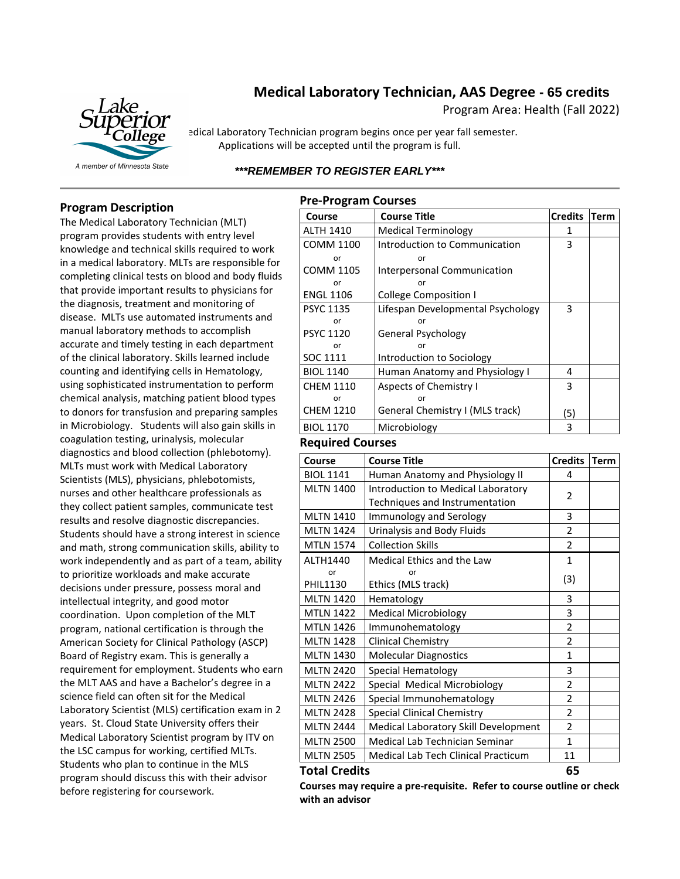# **Medical Laboratory Technician, AAS Degree - 65 credits**

Program Area: Health (Fall 2022)



edical Laboratory Technician program begins once per year fall semester. Applications will be accepted until the program is full.

# *\*\*\*REMEMBER TO REGISTER EARLY\*\*\**

# **Program Description**

The Medical Laboratory Technician (MLT) program provides students with entry level knowledge and technical skills required to work in a medical laboratory. MLTs are responsible for completing clinical tests on blood and body fluids that provide important results to physicians for the diagnosis, treatment and monitoring of disease. MLTs use automated instruments and manual laboratory methods to accomplish accurate and timely testing in each department of the clinical laboratory. Skills learned include counting and identifying cells in Hematology, using sophisticated instrumentation to perform chemical analysis, matching patient blood types to donors for transfusion and preparing samples in Microbiology. Students will also gain skills in coagulation testing, urinalysis, molecular diagnostics and blood collection (phlebotomy). MLTs must work with Medical Laboratory Scientists (MLS), physicians, phlebotomists, nurses and other healthcare professionals as they collect patient samples, communicate test results and resolve diagnostic discrepancies. Students should have a strong interest in science and math, strong communication skills, ability to work independently and as part of a team, ability to prioritize workloads and make accurate decisions under pressure, possess moral and intellectual integrity, and good motor coordination. Upon completion of the MLT program, national certification is through the American Society for Clinical Pathology (ASCP) Board of Registry exam. This is generally a requirement for employment. Students who earn the MLT AAS and have a Bachelor's degree in a science field can often sit for the Medical Laboratory Scientist (MLS) certification exam in 2 years. St. Cloud State University offers their Medical Laboratory Scientist program by ITV on the LSC campus for working, certified MLTs. Students who plan to continue in the MLS program should discuss this with their advisor before registering for coursework.

| <b>Pre-Program Courses</b> |                                   |                |             |  |
|----------------------------|-----------------------------------|----------------|-------------|--|
| Course                     | <b>Course Title</b>               | <b>Credits</b> | <b>Term</b> |  |
| <b>ALTH 1410</b>           | <b>Medical Terminology</b>        | 1              |             |  |
| COMM 1100                  | Introduction to Communication     | 3              |             |  |
| or                         | or                                |                |             |  |
| <b>COMM 1105</b>           | Interpersonal Communication       |                |             |  |
| or                         | or                                |                |             |  |
| <b>ENGL 1106</b>           | <b>College Composition I</b>      |                |             |  |
| <b>PSYC 1135</b>           | Lifespan Developmental Psychology | 3              |             |  |
| or                         | or                                |                |             |  |
| <b>PSYC 1120</b>           | General Psychology                |                |             |  |
| or                         | or                                |                |             |  |
| SOC 1111                   | Introduction to Sociology         |                |             |  |
| <b>BIOL 1140</b>           | Human Anatomy and Physiology I    | 4              |             |  |
| <b>CHEM 1110</b>           | <b>Aspects of Chemistry I</b>     | 3              |             |  |
| or                         | or                                |                |             |  |
| <b>CHEM 1210</b>           | General Chemistry I (MLS track)   | (5)            |             |  |
| <b>BIOL 1170</b>           | Microbiology                      | 3              |             |  |
| .                          |                                   |                |             |  |

#### **Required Courses**

| Course               | <b>Course Title</b>                  | <b>Credits</b>           | <b>Term</b> |
|----------------------|--------------------------------------|--------------------------|-------------|
| <b>BIOL 1141</b>     | Human Anatomy and Physiology II      | 4                        |             |
| <b>MLTN 1400</b>     | Introduction to Medical Laboratory   | 2                        |             |
|                      | Techniques and Instrumentation       |                          |             |
| <b>MLTN 1410</b>     | Immunology and Serology              | 3                        |             |
| <b>MLTN 1424</b>     | Urinalysis and Body Fluids           | 2                        |             |
| <b>MTLN 1574</b>     | <b>Collection Skills</b>             | $\overline{\phantom{a}}$ |             |
| ALTH1440             | Medical Ethics and the Law           | $\mathbf{1}$             |             |
| or                   | or                                   | (3)                      |             |
| <b>PHIL1130</b>      | Ethics (MLS track)                   |                          |             |
| <b>MLTN 1420</b>     | Hematology                           | 3                        |             |
| <b>MTLN 1422</b>     | <b>Medical Microbiology</b>          | 3                        |             |
| <b>MTLN 1426</b>     | Immunohematology                     | $\overline{2}$           |             |
| <b>MLTN 1428</b>     | <b>Clinical Chemistry</b>            | $\overline{2}$           |             |
| <b>MLTN 1430</b>     | <b>Molecular Diagnostics</b>         | $\mathbf{1}$             |             |
| <b>MLTN 2420</b>     | Special Hematology                   | 3                        |             |
| <b>MLTN 2422</b>     | Special Medical Microbiology         | $\overline{2}$           |             |
| <b>MLTN 2426</b>     | Special Immunohematology             | $\overline{\phantom{a}}$ |             |
| <b>MLTN 2428</b>     | <b>Special Clinical Chemistry</b>    | 2                        |             |
| <b>MLTN 2444</b>     | Medical Laboratory Skill Development | $\overline{2}$           |             |
| <b>MLTN 2500</b>     | Medical Lab Technician Seminar       | $\overline{1}$           |             |
| <b>MLTN 2505</b>     | Medical Lab Tech Clinical Practicum  | 11                       |             |
| <b>Total Credits</b> |                                      |                          |             |

### **Courses may require a pre-requisite. Refer to course outline or check with an advisor**